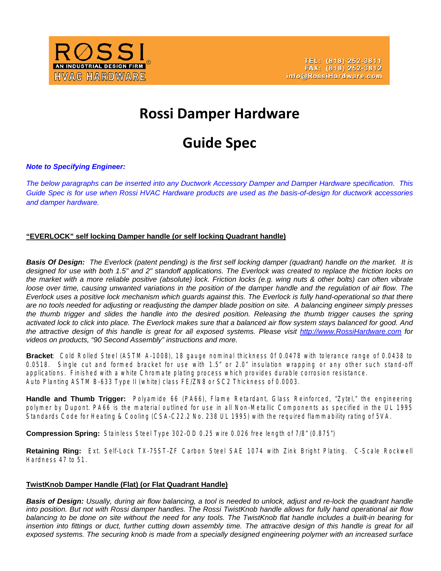

# **Rossi Damper Hardware**

# **Guide Spec**

# *Note to Specifying Engineer:*

*The below paragraphs can be inserted into any Ductwork Accessory Damper and Damper Hardware specification. This Guide Spec is for use when Rossi HVAC Hardware products are used as the basis-of-design for ductwork accessories and damper hardware.* 

## **"EVERLOCK" self locking Damper handle (or self locking Quadrant handle)**

*Basis Of Design: The Everlock (patent pending) is the first self locking damper (quadrant) handle on the market. It is designed for use with both 1.5" and 2" standoff applications. The Everlock was created to replace the friction locks on the market with a more reliable positive (absolute) lock. Friction locks (e.g. wing nuts & other bolts) can often vibrate*  loose over time, causing unwanted variations in the position of the damper handle and the regulation of air flow. The *Everlock uses a positive lock mechanism which guards against this. The Everlock is fully hand-operational so that there are no tools needed for adjusting or readjusting the damper blade position on site. A balancing engineer simply presses the thumb trigger and slides the handle into the desired position. Releasing the thumb trigger causes the spring activated lock to click into place. The Everlock makes sure that a balanced air flow system stays balanced for good. And the attractive design of this handle is great for all exposed systems. Please visi[t http://www.RossiHardware.com](http://www.rossihardware.com/) for videos on products, "90 Second Assembly" instructions and more.* 

Bracket: Cold Rolled Steel (ASTM A-1008), 18 gauge nominal thickness 0f 0.0478 with tolerance range of 0.0438 to 0.0518. Single cut and formed bracket for use with 1.5" or 2.0" insulation wrapping or any other such stand-off applications. Finished with a white Chromate plating process which provides durable corrosion resistance. Auto Planting ASTM B-633 Type II (white) class FE/ZN8 or SC2 Thickness of 0.0003.

**Handle and Thumb Trigger:** Polyamide 66 (PA66), Flame Retardant, Glass Reinforced, "Zytel," the engineering polymer by Dupont. PA66 is the material outlined for use in all Non-Metallic Components as specified in the UL 1995 Standards Code for Heating & Cooling (CSA-C22.2 No. 238 UL 1995) with the required flammability rating of 5VA.

**Compression Spring:** Stainless Steel Type 302-OD 0.25 wire 0.026 free length of 7/8" (0.875")

Retaining Ring: Ext. Self-Lock TX-75ST-ZF Carbon Steel SAE 1074 with Zink Bright Plating. C-Scale Rockwell Hardness 47 to 51.

#### **TwistKnob Damper Handle (Flat) (or Flat Quadrant Handle)**

*Basis of Design: Usually, during air flow balancing, a tool is needed to unlock, adjust and re-lock the quadrant handle into position. But not with Rossi damper handles. The Rossi TwistKnob handle allows for fully hand operational air flow balancing to be done on site without the need for any tools. The TwistKnob flat handle includes a built-in bearing for insertion into fittings or duct, further cutting down assembly time. The attractive design of this handle is great for all*  exposed systems. The securing knob is made from a specially designed engineering polymer with an increased surface